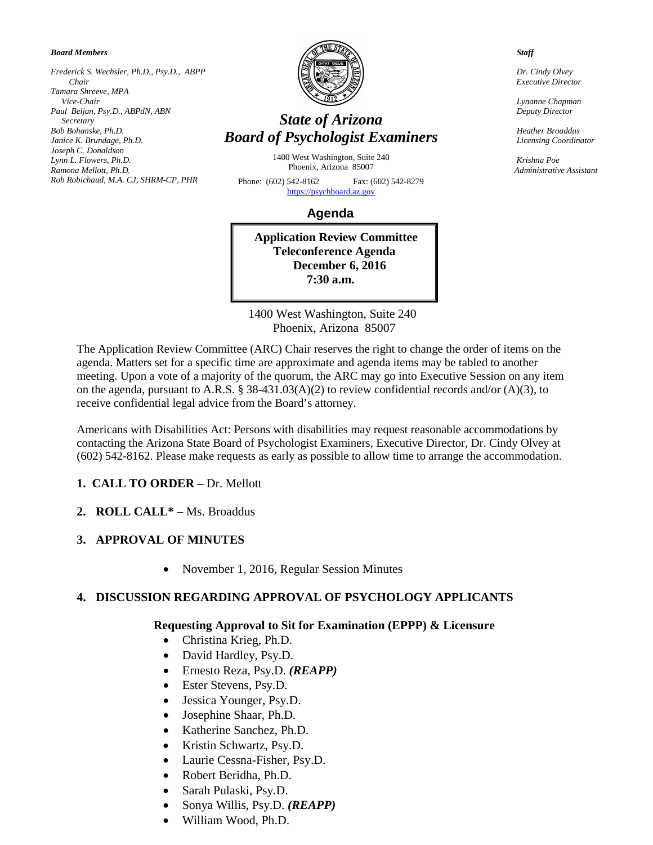*Board Members*

*Frederick S. Wechsler, Ph.D., Psy.D., ABPP Chair Tamara Shreeve, MPA Vice-Chair Paul Beljan, Psy.D., ABPdN, ABN Secretary Bob Bohanske, Ph.D. Janice K. Brundage, Ph.D. Joseph C. Donaldson Lynn L. Flowers, Ph.D. Ramona Mellott, Ph.D. Rob Robichaud, M.A. CJ, SHRM-CP, PHR* 



# *State of Arizona Board of Psychologist Examiners*

1400 West Washington, Suite 240 Phoenix, Arizona 85007

Phone: (602) 542-8162 Fax: (602) 542-8279 [https://psychboard.az.gov](https://psychboard.az.gov/) 

 **Agenda**

**Application Review Committee Teleconference Agenda December 6, 2016 7:30 a.m.**

 1400 West Washington, Suite 240 Phoenix, Arizona 85007

The Application Review Committee (ARC) Chair reserves the right to change the order of items on the agenda. Matters set for a specific time are approximate and agenda items may be tabled to another meeting. Upon a vote of a majority of the quorum, the ARC may go into Executive Session on any item on the agenda, pursuant to A.R.S. § 38-431.03(A)(2) to review confidential records and/or (A)(3), to receive confidential legal advice from the Board's attorney.

Americans with Disabilities Act: Persons with disabilities may request reasonable accommodations by contacting the Arizona State Board of Psychologist Examiners, Executive Director, Dr. Cindy Olvey at (602) 542-8162. Please make requests as early as possible to allow time to arrange the accommodation.

### **1. CALL TO ORDER –** Dr. Mellott

**2. ROLL CALL\* –** Ms. Broaddus

### **3. APPROVAL OF MINUTES**

• November 1, 2016, Regular Session Minutes

### **4. DISCUSSION REGARDING APPROVAL OF PSYCHOLOGY APPLICANTS**

#### **Requesting Approval to Sit for Examination (EPPP) & Licensure**

- Christina Krieg, Ph.D.
- David Hardley, Psy.D.
- Ernesto Reza, Psy.D. *(REAPP)*
- Ester Stevens, Psy.D.
- Jessica Younger, Psy.D.
- Josephine Shaar, Ph.D.
- Katherine Sanchez, Ph.D.
- Kristin Schwartz, Psy.D.
- Laurie Cessna-Fisher, Psy.D.
- Robert Beridha, Ph.D.
- Sarah Pulaski, Psy.D.
- Sonya Willis, Psy.D. *(REAPP)*
- William Wood, Ph.D.

 *Staff*

 *Dr. Cindy Olvey Executive Director*

 *Lynanne Chapman Deputy Director*

 *Heather Broaddus Licensing Coordinator*

 *Krishna Poe Administrative Assistant*